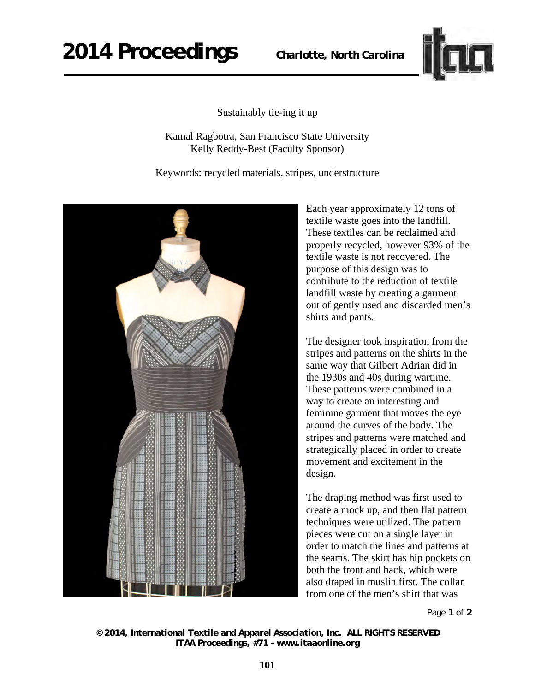## **2014 Proceedings** *Charlotte, North Carolina*



Sustainably tie-ing it up

Kamal Ragbotra, San Francisco State University Kelly Reddy-Best (Faculty Sponsor)

Keywords: recycled materials, stripes, understructure



Each year approximately 12 tons of textile waste goes into the landfill. These textiles can be reclaimed and properly recycled, however 93% of the textile waste is not recovered. The purpose of this design was to contribute to the reduction of textile landfill waste by creating a garment out of gently used and discarded men's shirts and pants.

The designer took inspiration from the stripes and patterns on the shirts in the same way that Gilbert Adrian did in the 1930s and 40s during wartime. These patterns were combined in a way to create an interesting and feminine garment that moves the eye around the curves of the body. The stripes and patterns were matched and strategically placed in order to create movement and excitement in the design.

The draping method was first used to create a mock up, and then flat pattern techniques were utilized. The pattern pieces were cut on a single layer in order to match the lines and patterns at the seams. The skirt has hip pockets on both the front and back, which were also draped in muslin first. The collar from one of the men's shirt that was

Page **1** of **2** 

*© 2014, International Textile and Apparel Association, Inc. ALL RIGHTS RESERVED ITAA Proceedings, #71 – www.itaaonline.org*